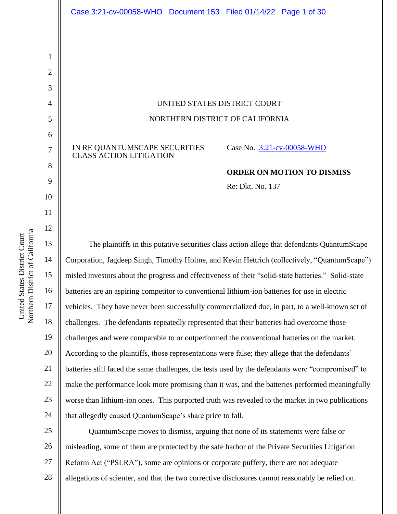UNITED STATES DISTRICT COURT NORTHERN DISTRICT OF CALIFORNIA

IN RE QUANTUMSCAPE SECURITIES CLASS ACTION LITIGATION

Case No. 3:21-cv-00058-WHO

**ORDER ON MOTION TO DISMISS** Re: Dkt. No. 137

The plaintiffs in this putative securities class action allege that defendants QuantumScape Corporation, Jagdeep Singh, Timothy Holme, and Kevin Hettrich (collectively, "QuantumScape") misled investors about the progress and effectiveness of their "solid-state batteries." Solid-state batteries are an aspiring competitor to conventional lithium-ion batteries for use in electric vehicles. They have never been successfully commercialized due, in part, to a well-known set of challenges. The defendants repeatedly represented that their batteries had overcome those challenges and were comparable to or outperformed the conventional batteries on the market. According to the plaintiffs, those representations were false; they allege that the defendants' batteries still faced the same challenges, the tests used by the defendants were "compromised" to make the performance look more promising than it was, and the batteries performed meaningfully worse than lithium-ion ones. This purported truth was revealed to the market in two publications that allegedly caused QuantumScape's share price to fall.

25 26 27 28 QuantumScape moves to dismiss, arguing that none of its statements were false or misleading, some of them are protected by the safe harbor of the Private Securities Litigation Reform Act ("PSLRA"), some are opinions or corporate puffery, there are not adequate allegations of scienter, and that the two corrective disclosures cannot reasonably be relied on.

1

2

3

4

5

6

7

8

9

10

11

12

13

14

15

16

17

18

19

20

21

22

23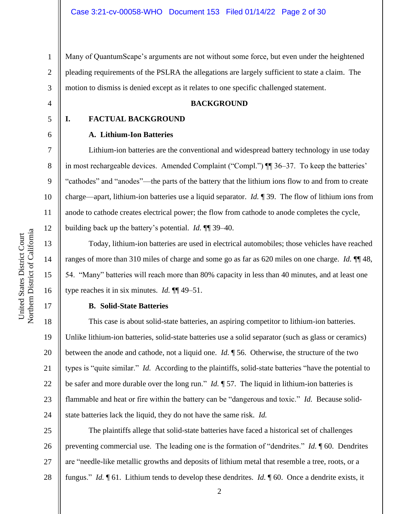1 2 3 Many of QuantumScape's arguments are not without some force, but even under the heightened pleading requirements of the PSLRA the allegations are largely sufficient to state a claim. The motion to dismiss is denied except as it relates to one specific challenged statement.

4

## **BACKGROUND**

#### 5

6

7

8

9

10

11

12

13

14

15

16

17

## **A. Lithium-Ion Batteries**

**I. FACTUAL BACKGROUND**

Lithium-ion batteries are the conventional and widespread battery technology in use today in most rechargeable devices. Amended Complaint ("Compl.") ¶¶ 36–37. To keep the batteries' "cathodes" and "anodes"—the parts of the battery that the lithium ions flow to and from to create charge—apart, lithium-ion batteries use a liquid separator. *Id.* ¶ 39. The flow of lithium ions from anode to cathode creates electrical power; the flow from cathode to anode completes the cycle, building back up the battery's potential. *Id.* ¶¶ 39–40.

Today, lithium-ion batteries are used in electrical automobiles; those vehicles have reached ranges of more than 310 miles of charge and some go as far as 620 miles on one charge. *Id.* ¶¶ 48, 54. "Many" batteries will reach more than 80% capacity in less than 40 minutes, and at least one type reaches it in six minutes. *Id.* ¶¶ 49–51.

## **B. Solid-State Batteries**

18 19 20 21 22 23 24 This case is about solid-state batteries, an aspiring competitor to lithium-ion batteries. Unlike lithium-ion batteries, solid-state batteries use a solid separator (such as glass or ceramics) between the anode and cathode, not a liquid one. *Id.* ¶ 56. Otherwise, the structure of the two types is "quite similar." *Id.* According to the plaintiffs, solid-state batteries "have the potential to be safer and more durable over the long run." *Id.* ¶ 57. The liquid in lithium-ion batteries is flammable and heat or fire within the battery can be "dangerous and toxic." *Id.* Because solidstate batteries lack the liquid, they do not have the same risk. *Id.*

25 26 27 28 The plaintiffs allege that solid-state batteries have faced a historical set of challenges preventing commercial use. The leading one is the formation of "dendrites." *Id.* ¶ 60. Dendrites are "needle-like metallic growths and deposits of lithium metal that resemble a tree, roots, or a fungus." *Id.* ¶ 61. Lithium tends to develop these dendrites. *Id.* ¶ 60. Once a dendrite exists, it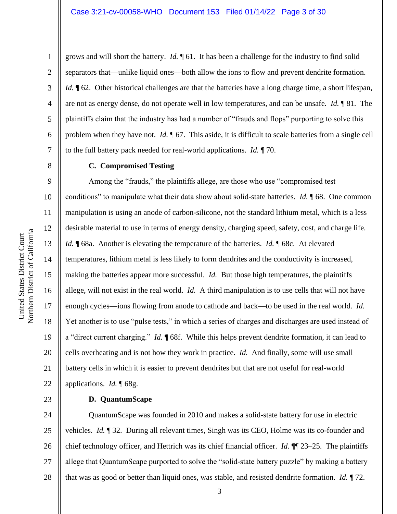2

3

4

5

6

7

8

9

10

11

12

13

14

15

16

17

18

19

20

21

22

23

grows and will short the battery. *Id.* ¶ 61. It has been a challenge for the industry to find solid separators that—unlike liquid ones—both allow the ions to flow and prevent dendrite formation. *Id.*  $\parallel$  62. Other historical challenges are that the batteries have a long charge time, a short lifespan, are not as energy dense, do not operate well in low temperatures, and can be unsafe. *Id.* ¶ 81. The plaintiffs claim that the industry has had a number of "frauds and flops" purporting to solve this problem when they have not. *Id.*  $\sqrt{67}$ . This aside, it is difficult to scale batteries from a single cell to the full battery pack needed for real-world applications. *Id.* ¶ 70.

# **C. Compromised Testing**

Among the "frauds," the plaintiffs allege, are those who use "compromised test conditions" to manipulate what their data show about solid-state batteries. *Id.* ¶ 68. One common manipulation is using an anode of carbon-silicone, not the standard lithium metal, which is a less desirable material to use in terms of energy density, charging speed, safety, cost, and charge life. *Id.* **[68a.** Another is elevating the temperature of the batteries. *Id.* **[68c.** At elevated temperatures, lithium metal is less likely to form dendrites and the conductivity is increased, making the batteries appear more successful. *Id.* But those high temperatures, the plaintiffs allege, will not exist in the real world. *Id.* A third manipulation is to use cells that will not have enough cycles—ions flowing from anode to cathode and back—to be used in the real world. *Id.*  Yet another is to use "pulse tests," in which a series of charges and discharges are used instead of a "direct current charging." *Id.* ¶ 68f. While this helps prevent dendrite formation, it can lead to cells overheating and is not how they work in practice. *Id.* And finally, some will use small battery cells in which it is easier to prevent dendrites but that are not useful for real-world applications. *Id.* ¶ 68g.

## **D. QuantumScape**

24 25 26 27 28 QuantumScape was founded in 2010 and makes a solid-state battery for use in electric vehicles. *Id.* ¶ 32. During all relevant times, Singh was its CEO, Holme was its co-founder and chief technology officer, and Hettrich was its chief financial officer. *Id.* ¶¶ 23–25. The plaintiffs allege that QuantumScape purported to solve the "solid-state battery puzzle" by making a battery that was as good or better than liquid ones, was stable, and resisted dendrite formation. *Id.* ¶ 72.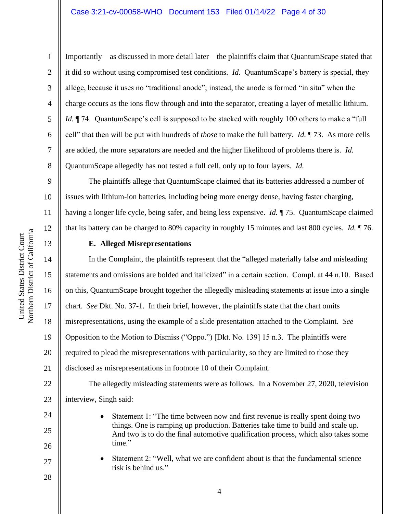1

2

3

4

Importantly—as discussed in more detail later—the plaintiffs claim that QuantumScape stated that it did so without using compromised test conditions. *Id.* QuantumScape's battery is special, they allege, because it uses no "traditional anode"; instead, the anode is formed "in situ" when the charge occurs as the ions flow through and into the separator, creating a layer of metallic lithium. *Id.*  $\P$  74. QuantumScape's cell is supposed to be stacked with roughly 100 others to make a "full" cell" that then will be put with hundreds of *those* to make the full battery. *Id.* ¶ 73. As more cells are added, the more separators are needed and the higher likelihood of problems there is. *Id.*  QuantumScape allegedly has not tested a full cell, only up to four layers. *Id.*

The plaintiffs allege that QuantumScape claimed that its batteries addressed a number of issues with lithium-ion batteries, including being more energy dense, having faster charging, having a longer life cycle, being safer, and being less expensive. *Id.* ¶ 75. QuantumScape claimed that its battery can be charged to 80% capacity in roughly 15 minutes and last 800 cycles. *Id.* ¶ 76.

# **E. Alleged Misrepresentations**

In the Complaint, the plaintiffs represent that the "alleged materially false and misleading statements and omissions are bolded and italicized" in a certain section. Compl. at 44 n.10. Based on this, QuantumScape brought together the allegedly misleading statements at issue into a single chart. *See* Dkt. No. 37-1. In their brief, however, the plaintiffs state that the chart omits misrepresentations, using the example of a slide presentation attached to the Complaint. *See*  Opposition to the Motion to Dismiss ("Oppo.") [Dkt. No. 139] 15 n.3. The plaintiffs were required to plead the misrepresentations with particularity, so they are limited to those they disclosed as misrepresentations in footnote 10 of their Complaint.

22 23 The allegedly misleading statements were as follows. In a November 27, 2020, television interview, Singh said:

- Statement 1: "The time between now and first revenue is really spent doing two things. One is ramping up production. Batteries take time to build and scale up. And two is to do the final automotive qualification process, which also takes some time."
- Statement 2: "Well, what we are confident about is that the fundamental science risk is behind us."

15

16

17

18

19

20

21

24

25

26

27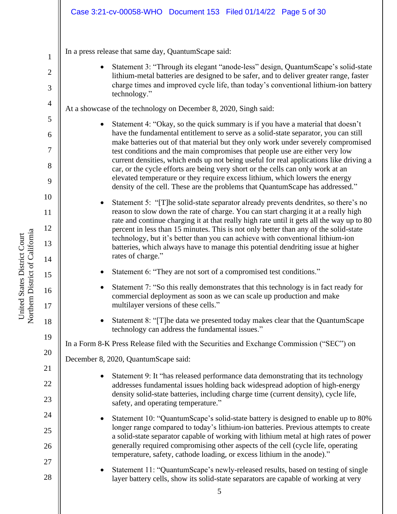# Case 3:21-cv-00058-WHO Document 153 Filed 01/14/22 Page 5 of 30

In a press release that same day, QuantumScape said:

• Statement 3: "Through its elegant "anode-less" design, QuantumScape's solid-state lithium-metal batteries are designed to be safer, and to deliver greater range, faster charge times and improved cycle life, than today's conventional lithium-ion battery technology."

At a showcase of the technology on December 8, 2020, Singh said:

Statement 4: "Okay, so the quick summary is if you have a material that doesn't have the fundamental entitlement to serve as a solid-state separator, you can still make batteries out of that material but they only work under severely compromised test conditions and the main compromises that people use are either very low current densities, which ends up not being useful for real applications like driving a car, or the cycle efforts are being very short or the cells can only work at an elevated temperature or they require excess lithium, which lowers the energy density of the cell. These are the problems that QuantumScape has addressed."

• Statement 5: "[T]he solid-state separator already prevents dendrites, so there's no reason to slow down the rate of charge. You can start charging it at a really high rate and continue charging it at that really high rate until it gets all the way up to 80 percent in less than 15 minutes. This is not only better than any of the solid-state technology, but it's better than you can achieve with conventional lithium-ion batteries, which always have to manage this potential dendriting issue at higher rates of charge."

- Statement 6: "They are not sort of a compromised test conditions."
- Statement 7: "So this really demonstrates that this technology is in fact ready for commercial deployment as soon as we can scale up production and make multilayer versions of these cells."
- Statement 8: "[T]he data we presented today makes clear that the QuantumScape technology can address the fundamental issues."

In a Form 8-K Press Release filed with the Securities and Exchange Commission ("SEC") on

December 8, 2020, QuantumScape said:

- Statement 9: It "has released performance data demonstrating that its technology addresses fundamental issues holding back widespread adoption of high-energy density solid-state batteries, including charge time (current density), cycle life, safety, and operating temperature."
- Statement 10: "QuantumScape's solid-state battery is designed to enable up to 80% longer range compared to today's lithium-ion batteries. Previous attempts to create a solid-state separator capable of working with lithium metal at high rates of power generally required compromising other aspects of the cell (cycle life, operating temperature, safety, cathode loading, or excess lithium in the anode)."
- Statement 11: "QuantumScape's newly-released results, based on testing of single layer battery cells, show its solid-state separators are capable of working at very

1

2

3

4

5

6

7

8

9

10

11

12

13

14

15

16

17

18

19

20

21

22

23

24

25

26

27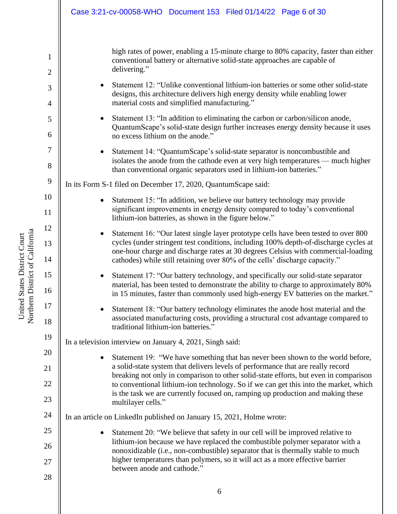|                     | Case 3:21-cv-00058-WHO Document 153 Filed 01/14/22 Page 6 of 30                                                                                                                                                                                               |
|---------------------|---------------------------------------------------------------------------------------------------------------------------------------------------------------------------------------------------------------------------------------------------------------|
|                     |                                                                                                                                                                                                                                                               |
| 1<br>$\mathbf{2}$   | high rates of power, enabling a 15-minute charge to 80% capacity, faster than either<br>conventional battery or alternative solid-state approaches are capable of<br>delivering."                                                                             |
| 3<br>$\overline{4}$ | Statement 12: "Unlike conventional lithium-ion batteries or some other solid-state<br>designs, this architecture delivers high energy density while enabling lower<br>material costs and simplified manufacturing."                                           |
| 5<br>6              | Statement 13: "In addition to eliminating the carbon or carbon/silicon anode,<br>QuantumScape's solid-state design further increases energy density because it uses<br>no excess lithium on the anode."                                                       |
| 7<br>$8\,$          | Statement 14: "QuantumScape's solid-state separator is noncombustible and<br>$\bullet$<br>isolates the anode from the cathode even at very high temperatures — much higher<br>than conventional organic separators used in lithium-ion batteries."            |
| 9                   | In its Form S-1 filed on December 17, 2020, QuantumScape said:                                                                                                                                                                                                |
| 10                  | Statement 15: "In addition, we believe our battery technology may provide                                                                                                                                                                                     |
| 11                  | significant improvements in energy density compared to today's conventional<br>lithium-ion batteries, as shown in the figure below."                                                                                                                          |
| 12<br>13            | Statement 16: "Our latest single layer prototype cells have been tested to over 800<br>$\bullet$<br>cycles (under stringent test conditions, including 100% depth-of-discharge cycles at                                                                      |
| 14                  | one-hour charge and discharge rates at 30 degrees Celsius with commercial-loading<br>cathodes) while still retaining over 80% of the cells' discharge capacity."                                                                                              |
| 15<br>16            | Statement 17: "Our battery technology, and specifically our solid-state separator<br>material, has been tested to demonstrate the ability to charge to approximately 80%<br>in 15 minutes, faster than commonly used high-energy EV batteries on the market." |
| 17<br>18            | Statement 18: "Our battery technology eliminates the anode host material and the<br>associated manufacturing costs, providing a structural cost advantage compared to<br>traditional lithium-ion batteries."                                                  |
| 19                  | In a television interview on January 4, 2021, Singh said:                                                                                                                                                                                                     |
| 20                  | Statement 19: "We have something that has never been shown to the world before,<br>$\bullet$                                                                                                                                                                  |
| 21                  | a solid-state system that delivers levels of performance that are really record<br>breaking not only in comparison to other solid-state efforts, but even in comparison                                                                                       |
| 22                  | to conventional lithium-ion technology. So if we can get this into the market, which                                                                                                                                                                          |
| 23                  | is the task we are currently focused on, ramping up production and making these<br>multilayer cells."                                                                                                                                                         |
| 24                  | In an article on LinkedIn published on January 15, 2021, Holme wrote:                                                                                                                                                                                         |
| 25                  | Statement 20: "We believe that safety in our cell will be improved relative to                                                                                                                                                                                |
| 26                  | lithium-ion because we have replaced the combustible polymer separator with a<br>nonoxidizable (i.e., non-combustible) separator that is thermally stable to much                                                                                             |
| 27                  | higher temperatures than polymers, so it will act as a more effective barrier<br>between anode and cathode."                                                                                                                                                  |
| 28                  |                                                                                                                                                                                                                                                               |

United States District Court<br>Northern District of California Northern District of California United States District Court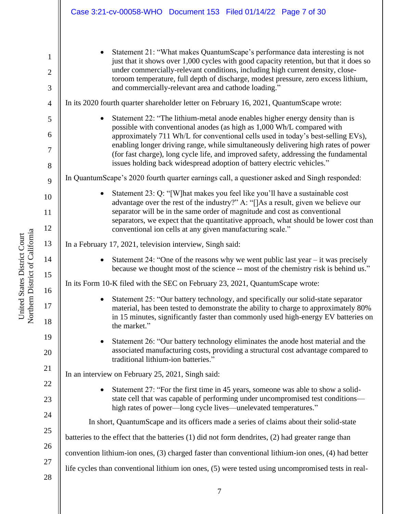|                | Case 3:21-cv-00058-WHO Document 153 Filed 01/14/22 Page 7 of 30                                                                                                            |
|----------------|----------------------------------------------------------------------------------------------------------------------------------------------------------------------------|
|                |                                                                                                                                                                            |
| $\mathbf 1$    | Statement 21: "What makes QuantumScape's performance data interesting is not<br>just that it shows over 1,000 cycles with good capacity retention, but that it does so     |
| $\overline{2}$ | under commercially-relevant conditions, including high current density, close-                                                                                             |
| 3              | toroom temperature, full depth of discharge, modest pressure, zero excess lithium,<br>and commercially-relevant area and cathode loading."                                 |
| $\overline{4}$ | In its 2020 fourth quarter shareholder letter on February 16, 2021, QuantumScape wrote:                                                                                    |
| 5              | Statement 22: "The lithium-metal anode enables higher energy density than is<br>possible with conventional anodes (as high as 1,000 Wh/L compared with                     |
| 6              | approximately 711 Wh/L for conventional cells used in today's best-selling EVs),                                                                                           |
| 7              | enabling longer driving range, while simultaneously delivering high rates of power<br>(for fast charge), long cycle life, and improved safety, addressing the fundamental  |
| 8              | issues holding back widespread adoption of battery electric vehicles."                                                                                                     |
| 9              | In QuantumScape's 2020 fourth quarter earnings call, a questioner asked and Singh responded:                                                                               |
| 10             | Statement 23: Q: "[W] hat makes you feel like you'll have a sustainable cost<br>advantage over the rest of the industry?" A: "[]As a result, given we believe our          |
| 11             | separator will be in the same order of magnitude and cost as conventional<br>separators, we expect that the quantitative approach, what should be lower cost than          |
| 12             | conventional ion cells at any given manufacturing scale."                                                                                                                  |
| 13             | In a February 17, 2021, television interview, Singh said:                                                                                                                  |
| 14<br>15       | Statement 24: "One of the reasons why we went public last year $-$ it was precisely<br>because we thought most of the science -- most of the chemistry risk is behind us." |
| 16             | In its Form 10-K filed with the SEC on February 23, 2021, QuantumScape wrote:                                                                                              |
| 17             | Statement 25: "Our battery technology, and specifically our solid-state separator<br>material, has been tested to demonstrate the ability to charge to approximately 80%   |
| 18             | in 15 minutes, significantly faster than commonly used high-energy EV batteries on<br>the market."                                                                         |
| 19             | Statement 26: "Our battery technology eliminates the anode host material and the<br>٠                                                                                      |
| 20             | associated manufacturing costs, providing a structural cost advantage compared to<br>traditional lithium-ion batteries."                                                   |
| 21             | In an interview on February 25, 2021, Singh said:                                                                                                                          |
| 22             | Statement 27: "For the first time in 45 years, someone was able to show a solid-<br>$\bullet$                                                                              |
| 23             | state cell that was capable of performing under uncompromised test conditions-<br>high rates of power-long cycle lives-unelevated temperatures."                           |
| 24             | In short, QuantumScape and its officers made a series of claims about their solid-state                                                                                    |
| 25             | batteries to the effect that the batteries (1) did not form dendrites, (2) had greater range than                                                                          |
| 26             | convention lithium-ion ones, (3) charged faster than conventional lithium-ion ones, (4) had better                                                                         |
| 27             | life cycles than conventional lithium ion ones, (5) were tested using uncompromised tests in real-                                                                         |
| 28             |                                                                                                                                                                            |

United States District Court<br>Northern District of California Northern District of California United States District Court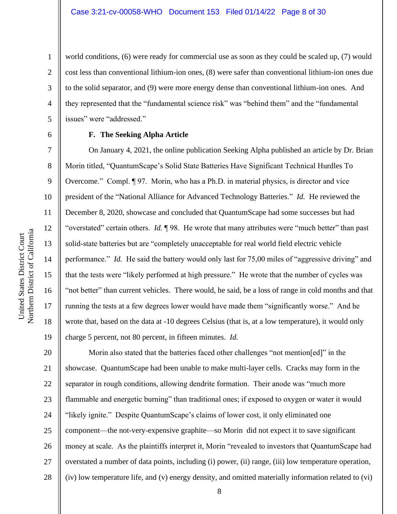world conditions, (6) were ready for commercial use as soon as they could be scaled up, (7) would cost less than conventional lithium-ion ones, (8) were safer than conventional lithium-ion ones due to the solid separator, and (9) were more energy dense than conventional lithium-ion ones. And they represented that the "fundamental science risk" was "behind them" and the "fundamental issues" were "addressed."

6

1

2

3

4

5

7

8

9

10

11

12

13

14

15

16

17

18

19

## **F. The Seeking Alpha Article**

On January 4, 2021, the online publication Seeking Alpha published an article by Dr. Brian Morin titled, "QuantumScape's Solid State Batteries Have Significant Technical Hurdles To Overcome." Compl. ¶ 97. Morin, who has a Ph.D. in material physics, is director and vice president of the "National Alliance for Advanced Technology Batteries." *Id.* He reviewed the December 8, 2020, showcase and concluded that QuantumScape had some successes but had "overstated" certain others. *Id.* ¶ 98. He wrote that many attributes were "much better" than past solid-state batteries but are "completely unacceptable for real world field electric vehicle performance." *Id.* He said the battery would only last for 75,00 miles of "aggressive driving" and that the tests were "likely performed at high pressure." He wrote that the number of cycles was "not better" than current vehicles. There would, he said, be a loss of range in cold months and that running the tests at a few degrees lower would have made them "significantly worse." And he wrote that, based on the data at -10 degrees Celsius (that is, at a low temperature), it would only charge 5 percent, not 80 percent, in fifteen minutes. *Id.* 

20 21 22 23 24 25 26 27 28 Morin also stated that the batteries faced other challenges "not mention[ed]" in the showcase. QuantumScape had been unable to make multi-layer cells. Cracks may form in the separator in rough conditions, allowing dendrite formation. Their anode was "much more flammable and energetic burning" than traditional ones; if exposed to oxygen or water it would "likely ignite." Despite QuantumScape's claims of lower cost, it only eliminated one component—the not-very-expensive graphite—so Morin did not expect it to save significant money at scale. As the plaintiffs interpret it, Morin "revealed to investors that QuantumScape had overstated a number of data points, including (i) power, (ii) range, (iii) low temperature operation, (iv) low temperature life, and (v) energy density, and omitted materially information related to (vi)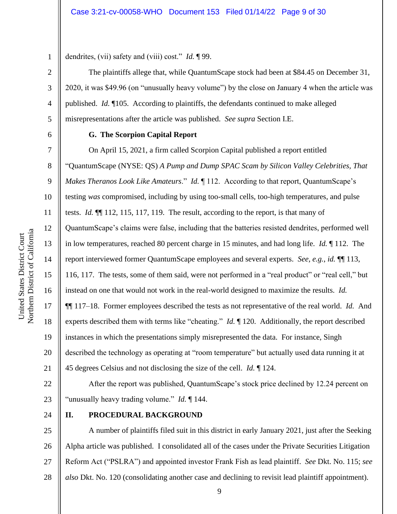1 dendrites, (vii) safety and (viii) cost." *Id.* ¶ 99.

The plaintiffs allege that, while QuantumScape stock had been at \$84.45 on December 31, 2020, it was \$49.96 (on "unusually heavy volume") by the close on January 4 when the article was published. *Id.* ¶105. According to plaintiffs, the defendants continued to make alleged misrepresentations after the article was published. *See supra* Section I.E.

6

2

3

4

5

7

8

9

10

11

12

13

14

15

16

17

18

19

20

21

# **G. The Scorpion Capital Report**

On April 15, 2021, a firm called Scorpion Capital published a report entitled "QuantumScape (NYSE: QS) *A Pump and Dump SPAC Scam by Silicon Valley Celebrities, That Makes Theranos Look Like Amateurs.*" *Id.* 112. According to that report, QuantumScape's testing *was* compromised, including by using too-small cells, too-high temperatures, and pulse tests. *Id.* ¶¶ 112, 115, 117, 119.The result, according to the report, is that many of QuantumScape's claims were false, including that the batteries resisted dendrites, performed well in low temperatures, reached 80 percent charge in 15 minutes, and had long life. *Id.* ¶ 112.The report interviewed former QuantumScape employees and several experts. *See, e.g.*, *id.* ¶¶ 113, 116, 117. The tests, some of them said, were not performed in a "real product" or "real cell," but instead on one that would not work in the real-world designed to maximize the results. *Id.*  ¶¶ 117–18. Former employees described the tests as not representative of the real world. *Id.* And experts described them with terms like "cheating." *Id.* ¶ 120. Additionally, the report described instances in which the presentations simply misrepresented the data. For instance, Singh described the technology as operating at "room temperature" but actually used data running it at 45 degrees Celsius and not disclosing the size of the cell. *Id.* ¶ 124.

22 23 After the report was published, QuantumScape's stock price declined by 12.24 percent on "unusually heavy trading volume." *Id.* ¶ 144.

24

# **II. PROCEDURAL BACKGROUND**

25 26 27 28 A number of plaintiffs filed suit in this district in early January 2021, just after the Seeking Alpha article was published. I consolidated all of the cases under the Private Securities Litigation Reform Act ("PSLRA") and appointed investor Frank Fish as lead plaintiff. *See* Dkt. No. 115; *see also* Dkt. No. 120 (consolidating another case and declining to revisit lead plaintiff appointment).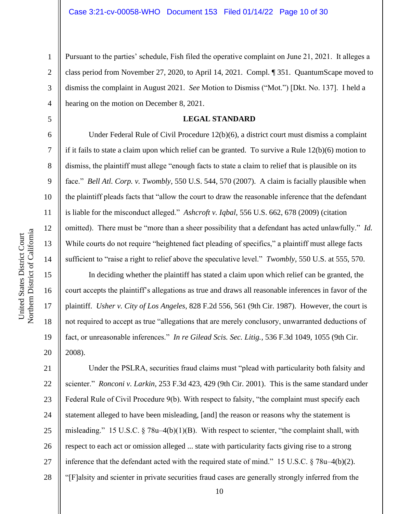Pursuant to the parties' schedule, Fish filed the operative complaint on June 21, 2021. It alleges a class period from November 27, 2020, to April 14, 2021. Compl. ¶ 351. QuantumScape moved to dismiss the complaint in August 2021. *See* Motion to Dismiss ("Mot.") [Dkt. No. 137]. I held a hearing on the motion on December 8, 2021.

### **LEGAL STANDARD**

Under Federal Rule of Civil Procedure 12(b)(6), a district court must dismiss a complaint if it fails to state a claim upon which relief can be granted. To survive a Rule 12(b)(6) motion to dismiss, the plaintiff must allege "enough facts to state a claim to relief that is plausible on its face." *Bell Atl. Corp. v. Twombly*, 550 U.S. 544, 570 (2007). A claim is facially plausible when the plaintiff pleads facts that "allow the court to draw the reasonable inference that the defendant is liable for the misconduct alleged." *Ashcroft v. Iqbal*, 556 U.S. 662, 678 (2009) (citation omitted). There must be "more than a sheer possibility that a defendant has acted unlawfully." *Id.* While courts do not require "heightened fact pleading of specifics," a plaintiff must allege facts sufficient to "raise a right to relief above the speculative level." *Twombly*, 550 U.S. at 555, 570.

In deciding whether the plaintiff has stated a claim upon which relief can be granted, the court accepts the plaintiff's allegations as true and draws all reasonable inferences in favor of the plaintiff. *Usher v. City of Los Angeles*, 828 F.2d 556, 561 (9th Cir. 1987). However, the court is not required to accept as true "allegations that are merely conclusory, unwarranted deductions of fact, or unreasonable inferences." *In re Gilead Scis. Sec. Litig.*, 536 F.3d 1049, 1055 (9th Cir. 2008).

21 22 23 24 25 26 27 28 Under the PSLRA, securities fraud claims must "plead with particularity both falsity and scienter." *Ronconi v. Larkin*, 253 F.3d 423, 429 (9th Cir. 2001). This is the same standard under Federal Rule of Civil Procedure 9(b). With respect to falsity, "the complaint must specify each statement alleged to have been misleading, [and] the reason or reasons why the statement is misleading." 15 U.S.C. § 78u–4(b)(1)(B). With respect to scienter, "the complaint shall, with respect to each act or omission alleged ... state with particularity facts giving rise to a strong inference that the defendant acted with the required state of mind." 15 U.S.C. § 78u–4(b)(2). "[F]alsity and scienter in private securities fraud cases are generally strongly inferred from the

1

2

3

4

5

6

7

8

9

10

11

12

13

14

15

16

17

18

19

20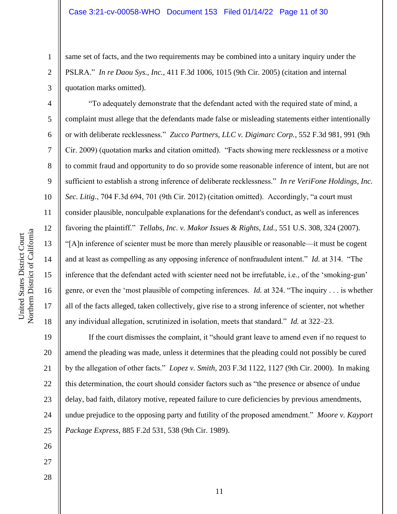same set of facts, and the two requirements may be combined into a unitary inquiry under the PSLRA." *In re Daou Sys., Inc.*, 411 F.3d 1006, 1015 (9th Cir. 2005) (citation and internal quotation marks omitted).

"To adequately demonstrate that the defendant acted with the required state of mind, a complaint must allege that the defendants made false or misleading statements either intentionally or with deliberate recklessness." *Zucco Partners, LLC v. Digimarc Corp.*, 552 F.3d 981, 991 (9th Cir. 2009) (quotation marks and citation omitted). "Facts showing mere recklessness or a motive to commit fraud and opportunity to do so provide some reasonable inference of intent, but are not sufficient to establish a strong inference of deliberate recklessness." *In re VeriFone Holdings, Inc. Sec. Litig.*, 704 F.3d 694, 701 (9th Cir. 2012) (citation omitted). Accordingly, "a court must consider plausible, nonculpable explanations for the defendant's conduct, as well as inferences favoring the plaintiff." *Tellabs, Inc. v. Makor Issues & Rights, Ltd.*, 551 U.S. 308, 324 (2007). "[A]n inference of scienter must be more than merely plausible or reasonable—it must be cogent and at least as compelling as any opposing inference of nonfraudulent intent." *Id.* at 314. "The inference that the defendant acted with scienter need not be irrefutable, i.e., of the 'smoking-gun' genre, or even the 'most plausible of competing inferences. *Id.* at 324. "The inquiry . . . is whether all of the facts alleged, taken collectively, give rise to a strong inference of scienter, not whether any individual allegation, scrutinized in isolation, meets that standard." *Id.* at 322–23.

19 20 21 22 23 24 25 If the court dismisses the complaint, it "should grant leave to amend even if no request to amend the pleading was made, unless it determines that the pleading could not possibly be cured by the allegation of other facts." *Lopez v. Smith*, 203 F.3d 1122, 1127 (9th Cir. 2000). In making this determination, the court should consider factors such as "the presence or absence of undue delay, bad faith, dilatory motive, repeated failure to cure deficiencies by previous amendments, undue prejudice to the opposing party and futility of the proposed amendment." *Moore v. Kayport Package Express*, 885 F.2d 531, 538 (9th Cir. 1989).

Northern District of California Northern District of California United States District Court United States District Court

1

2

3

4

5

6

7

8

9

10

11

12

13

14

15

16

17

18

26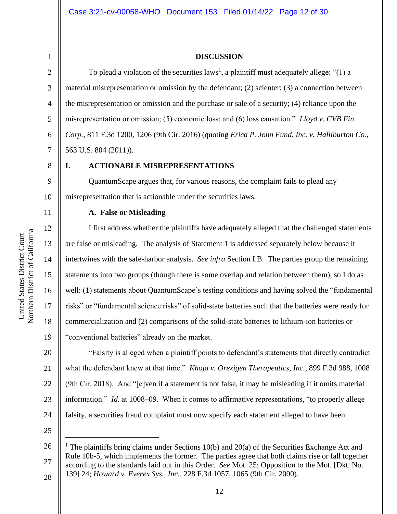3

4

5

6

7

9

10

11

12

13

14

15

16

17

18

19

20

21

22

23

24

# **DISCUSSION**

To plead a violation of the securities  $laws<sup>1</sup>$ , a plaintiff must adequately allege: "(1) a material misrepresentation or omission by the defendant; (2) scienter; (3) a connection between the misrepresentation or omission and the purchase or sale of a security; (4) reliance upon the misrepresentation or omission; (5) economic loss; and (6) loss causation." *Lloyd v. CVB Fin. Corp.*, 811 F.3d 1200, 1206 (9th Cir. 2016) (quoting *Erica P. John Fund, Inc. v. Halliburton Co.*, 563 U.S. 804 (2011)).

8

# **I. ACTIONABLE MISREPRESENTATIONS**

QuantumScape argues that, for various reasons, the complaint fails to plead any misrepresentation that is actionable under the securities laws.

## **A. False or Misleading**

I first address whether the plaintiffs have adequately alleged that the challenged statements are false or misleading. The analysis of Statement 1 is addressed separately below because it intertwines with the safe-harbor analysis. *See infra* Section I.B. The parties group the remaining statements into two groups (though there is some overlap and relation between them), so I do as well: (1) statements about QuantumScape's testing conditions and having solved the "fundamental risks" or "fundamental science risks" of solid-state batteries such that the batteries were ready for commercialization and (2) comparisons of the solid-state batteries to lithium-ion batteries or "conventional batteries" already on the market.

"Falsity is alleged when a plaintiff points to defendant's statements that directly contradict what the defendant knew at that time." *Khoja v. Orexigen Therapeutics, Inc.*, 899 F.3d 988, 1008 (9th Cir. 2018). And "[e]ven if a statement is not false, it may be misleading if it omits material information." *Id.* at 1008–09. When it comes to affirmative representations, "to properly allege falsity, a securities fraud complaint must now specify each statement alleged to have been

<sup>26</sup> 27 28 <sup>1</sup> The plaintiffs bring claims under Sections 10(b) and 20(a) of the Securities Exchange Act and Rule 10b-5, which implements the former. The parties agree that both claims rise or fall together according to the standards laid out in this Order. *See* Mot. 25; Opposition to the Mot. [Dkt. No. 139] 24; *Howard v. Everex Sys., Inc.*, 228 F.3d 1057, 1065 (9th Cir. 2000).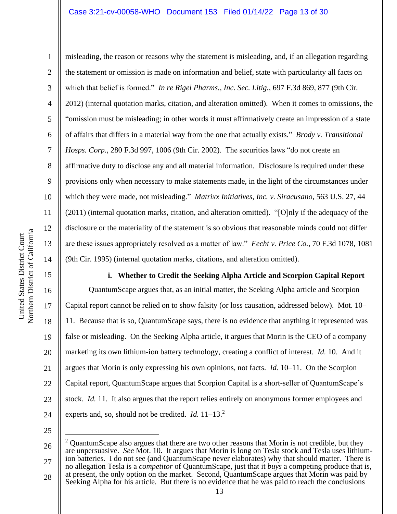Northern District of California Northern District of California United States District Court United States District Court

1 2 3 4 5 6 7 8 9 10 11 12 13 14 misleading, the reason or reasons why the statement is misleading, and, if an allegation regarding the statement or omission is made on information and belief, state with particularity all facts on which that belief is formed." *In re Rigel Pharms., Inc. Sec. Litig.*, 697 F.3d 869, 877 (9th Cir. 2012) (internal quotation marks, citation, and alteration omitted). When it comes to omissions, the "omission must be misleading; in other words it must affirmatively create an impression of a state of affairs that differs in a material way from the one that actually exists." *Brody v. Transitional Hosps. Corp.*, 280 F.3d 997, 1006 (9th Cir. 2002). The securities laws "do not create an affirmative duty to disclose any and all material information. Disclosure is required under these provisions only when necessary to make statements made, in the light of the circumstances under which they were made, not misleading." *Matrixx Initiatives, Inc. v. Siracusano*, 563 U.S. 27, 44 (2011) (internal quotation marks, citation, and alteration omitted). "[O]nly if the adequacy of the disclosure or the materiality of the statement is so obvious that reasonable minds could not differ are these issues appropriately resolved as a matter of law." *Fecht v. Price Co.*, 70 F.3d 1078, 1081 (9th Cir. 1995) (internal quotation marks, citations, and alteration omitted).

**i. Whether to Credit the Seeking Alpha Article and Scorpion Capital Report**

16 20 24 QuantumScape argues that, as an initial matter, the Seeking Alpha article and Scorpion Capital report cannot be relied on to show falsity (or loss causation, addressed below). Mot. 10– 11. Because that is so, QuantumScape says, there is no evidence that anything it represented was false or misleading. On the Seeking Alpha article, it argues that Morin is the CEO of a company marketing its own lithium-ion battery technology, creating a conflict of interest. *Id.* 10. And it argues that Morin is only expressing his own opinions, not facts. *Id.* 10–11. On the Scorpion Capital report, QuantumScape argues that Scorpion Capital is a short-seller of QuantumScape's stock. *Id.* 11. It also argues that the report relies entirely on anonymous former employees and experts and, so, should not be credited. *Id.* 11–13.<sup>2</sup>

25

15

17

18

19

21

22

23

26 27 <sup>2</sup> QuantumScape also argues that there are two other reasons that Morin is not credible, but they are unpersuasive. *See* Mot. 10. It argues that Morin is long on Tesla stock and Tesla uses lithiumion batteries. I do not see (and QuantumScape never elaborates) why that should matter. There is no allegation Tesla is a *competitor* of QuantumScape, just that it *buys* a competing produce that is,

28 at present, the only option on the market. Second, QuantumScape argues that Morin was paid by Seeking Alpha for his article. But there is no evidence that he was paid to reach the conclusions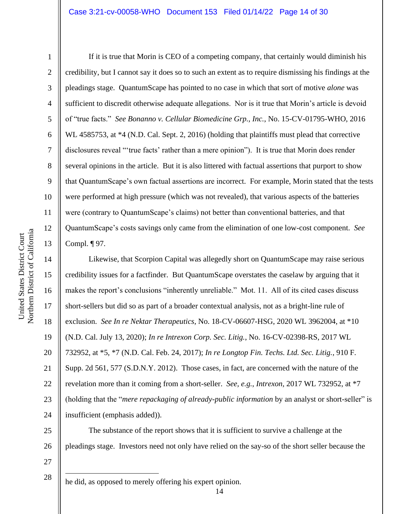2

3

4

5

6

7

8

9

10

11

12

13

14

15

17

18

19

21

If it is true that Morin is CEO of a competing company, that certainly would diminish his credibility, but I cannot say it does so to such an extent as to require dismissing his findings at the pleadings stage. QuantumScape has pointed to no case in which that sort of motive *alone* was sufficient to discredit otherwise adequate allegations. Nor is it true that Morin's article is devoid of "true facts." *See Bonanno v. Cellular Biomedicine Grp., Inc.*, No. 15-CV-01795-WHO, 2016 WL 4585753, at \*4 (N.D. Cal. Sept. 2, 2016) (holding that plaintiffs must plead that corrective disclosures reveal "'true facts' rather than a mere opinion"). It is true that Morin does render several opinions in the article. But it is also littered with factual assertions that purport to show that QuantumScape's own factual assertions are incorrect. For example, Morin stated that the tests were performed at high pressure (which was not revealed), that various aspects of the batteries were (contrary to QuantumScape's claims) not better than conventional batteries, and that QuantumScape's costs savings only came from the elimination of one low-cost component. *See*  Compl. ¶ 97.

16 20 22 23 24 Likewise, that Scorpion Capital was allegedly short on QuantumScape may raise serious credibility issues for a factfinder. But QuantumScape overstates the caselaw by arguing that it makes the report's conclusions "inherently unreliable." Mot. 11. All of its cited cases discuss short-sellers but did so as part of a broader contextual analysis, not as a bright-line rule of exclusion. *See In re Nektar Therapeutics*, No. 18-CV-06607-HSG, 2020 WL 3962004, at \*10 (N.D. Cal. July 13, 2020); *In re Intrexon Corp. Sec. Litig.*, No. 16-CV-02398-RS, 2017 WL 732952, at \*5, \*7 (N.D. Cal. Feb. 24, 2017); *In re Longtop Fin. Techs. Ltd. Sec. Litig.*, 910 F. Supp. 2d 561, 577 (S.D.N.Y. 2012). Those cases, in fact, are concerned with the nature of the revelation more than it coming from a short-seller. *See, e.g.*, *Intrexon*, 2017 WL 732952, at \*7 (holding that the "*mere repackaging of already-public information* by an analyst or short-seller" is insufficient (emphasis added)).

25 26 27 The substance of the report shows that it is sufficient to survive a challenge at the pleadings stage. Investors need not only have relied on the say-so of the short seller because the

28 he did, as opposed to merely offering his expert opinion.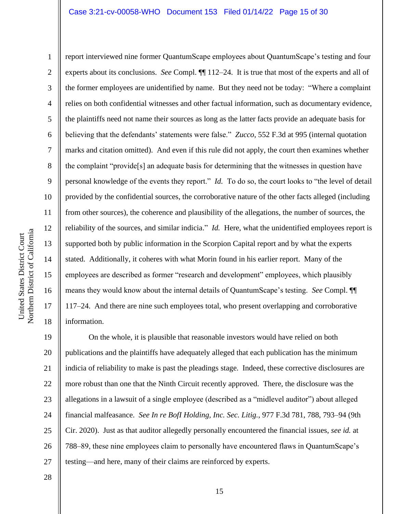10 11 12 Northern District of California Northern District of California 13 14 15 16 17 18

United States District Court

United States District Court

1

2

3

4

5

6

7

8

9

report interviewed nine former QuantumScape employees about QuantumScape's testing and four experts about its conclusions. *See* Compl. ¶¶ 112–24. It is true that most of the experts and all of the former employees are unidentified by name. But they need not be today: "Where a complaint relies on both confidential witnesses and other factual information, such as documentary evidence, the plaintiffs need not name their sources as long as the latter facts provide an adequate basis for believing that the defendants' statements were false." *Zucco*, 552 F.3d at 995 (internal quotation marks and citation omitted). And even if this rule did not apply, the court then examines whether the complaint "provide[s] an adequate basis for determining that the witnesses in question have personal knowledge of the events they report." *Id.* To do so, the court looks to "the level of detail provided by the confidential sources, the corroborative nature of the other facts alleged (including from other sources), the coherence and plausibility of the allegations, the number of sources, the reliability of the sources, and similar indicia." *Id.* Here, what the unidentified employees report is supported both by public information in the Scorpion Capital report and by what the experts stated. Additionally, it coheres with what Morin found in his earlier report. Many of the employees are described as former "research and development" employees, which plausibly means they would know about the internal details of QuantumScape's testing. *See* Compl. ¶¶ 117–24. And there are nine such employees total, who present overlapping and corroborative information.

19 20 21 22 23 24 25 26 27 On the whole, it is plausible that reasonable investors would have relied on both publications and the plaintiffs have adequately alleged that each publication has the minimum indicia of reliability to make is past the pleadings stage. Indeed, these corrective disclosures are more robust than one that the Ninth Circuit recently approved. There, the disclosure was the allegations in a lawsuit of a single employee (described as a "midlevel auditor") about alleged financial malfeasance. *See In re BofI Holding, Inc. Sec. Litig.*, 977 F.3d 781, 788, 793–94 (9th Cir. 2020). Just as that auditor allegedly personally encountered the financial issues, *see id.* at 788–89, these nine employees claim to personally have encountered flaws in QuantumScape's testing—and here, many of their claims are reinforced by experts.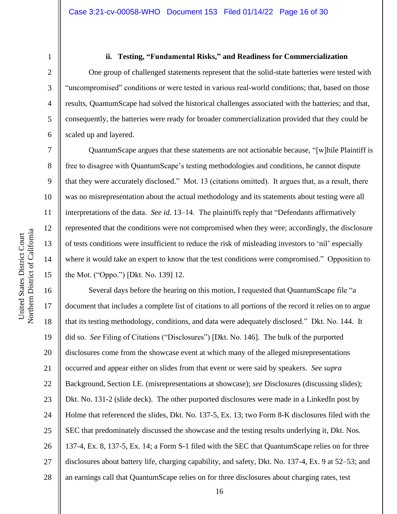7

8

9

10

11

12

13

14

15

#### **ii. Testing, "Fundamental Risks," and Readiness for Commercialization**

One group of challenged statements represent that the solid-state batteries were tested with "uncompromised" conditions or were tested in various real-world conditions; that, based on those results, QuantumScape had solved the historical challenges associated with the batteries; and that, consequently, the batteries were ready for broader commercialization provided that they could be scaled up and layered.

QuantumScape argues that these statements are not actionable because, "[w]hile Plaintiff is free to disagree with QuantumScape's testing methodologies and conditions, he cannot dispute that they were accurately disclosed." Mot. 13 (citations omitted). It argues that, as a result, there was no misrepresentation about the actual methodology and its statements about testing were all interpretations of the data. *See id.* 13–14. The plaintiffs reply that "Defendants affirmatively represented that the conditions were not compromised when they were; accordingly, the disclosure of tests conditions were insufficient to reduce the risk of misleading investors to 'nil' especially where it would take an expert to know that the test conditions were compromised." Opposition to the Mot. ("Oppo.") [Dkt. No. 139] 12.

16 17 18 19 20 21 22 23 24 25 26 27 28 Several days before the hearing on this motion, I requested that QuantumScape file "a document that includes a complete list of citations to all portions of the record it relies on to argue that its testing methodology, conditions, and data were adequately disclosed." Dkt. No. 144. It did so. *See* Filing of Citations ("Disclosures") [Dkt. No. 146]. The bulk of the purported disclosures come from the showcase event at which many of the alleged misrepresentations occurred and appear either on slides from that event or were said by speakers. *See supra*  Background, Section I.E. (misrepresentations at showcase); *see* Disclosures (discussing slides); Dkt. No. 131-2 (slide deck). The other purported disclosures were made in a LinkedIn post by Holme that referenced the slides, Dkt. No. 137-5, Ex. 13; two Form 8-K disclosures filed with the SEC that predominately discussed the showcase and the testing results underlying it, Dkt. Nos. 137-4, Ex. 8, 137-5, Ex. 14; a Form S-1 filed with the SEC that QuantumScape relies on for three disclosures about battery life, charging capability, and safety, Dkt. No. 137-4, Ex. 9 at 52–53; and an earnings call that QuantumScape relies on for three disclosures about charging rates, test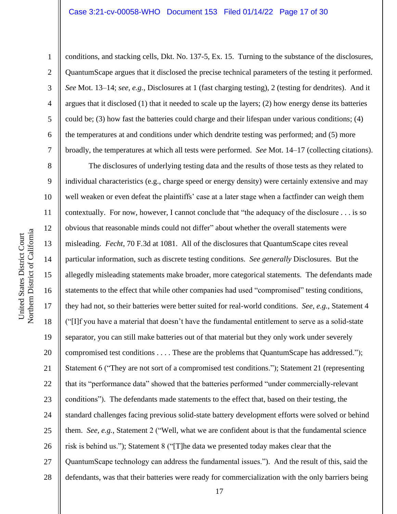2

3

4

5

6

7

8

9

11

12

13

14

15

17

18

19

21

25

conditions, and stacking cells, Dkt. No. 137-5, Ex. 15. Turning to the substance of the disclosures, QuantumScape argues that it disclosed the precise technical parameters of the testing it performed. *See* Mot. 13–14; *see, e.g.*, Disclosures at 1 (fast charging testing), 2 (testing for dendrites). And it argues that it disclosed (1) that it needed to scale up the layers; (2) how energy dense its batteries could be; (3) how fast the batteries could charge and their lifespan under various conditions; (4) the temperatures at and conditions under which dendrite testing was performed; and (5) more broadly, the temperatures at which all tests were performed. *See* Mot. 14–17 (collecting citations).

10 16 20 22 23 24 26 27 28 The disclosures of underlying testing data and the results of those tests as they related to individual characteristics (e.g., charge speed or energy density) were certainly extensive and may well weaken or even defeat the plaintiffs' case at a later stage when a factfinder can weigh them contextually. For now, however, I cannot conclude that "the adequacy of the disclosure . . . is so obvious that reasonable minds could not differ" about whether the overall statements were misleading. *Fecht*, 70 F.3d at 1081. All of the disclosures that QuantumScape cites reveal particular information, such as discrete testing conditions. *See generally* Disclosures. But the allegedly misleading statements make broader, more categorical statements. The defendants made statements to the effect that while other companies had used "compromised" testing conditions, they had not, so their batteries were better suited for real-world conditions. *See, e.g.*, Statement 4 ("[I]f you have a material that doesn't have the fundamental entitlement to serve as a solid-state separator, you can still make batteries out of that material but they only work under severely compromised test conditions . . . . These are the problems that QuantumScape has addressed."); Statement 6 ("They are not sort of a compromised test conditions."); Statement 21 (representing that its "performance data" showed that the batteries performed "under commercially-relevant conditions"). The defendants made statements to the effect that, based on their testing, the standard challenges facing previous solid-state battery development efforts were solved or behind them. *See, e.g.*, Statement 2 ("Well, what we are confident about is that the fundamental science risk is behind us."); Statement 8 ("[T]he data we presented today makes clear that the QuantumScape technology can address the fundamental issues."). And the result of this, said the defendants, was that their batteries were ready for commercialization with the only barriers being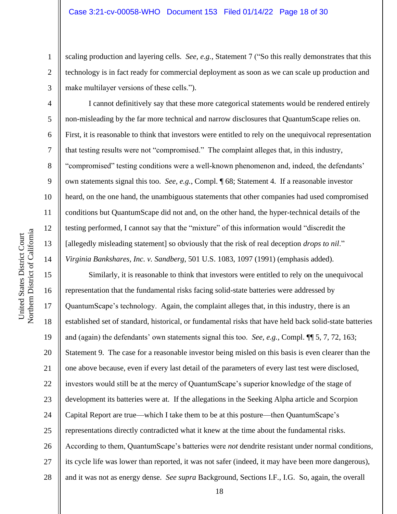scaling production and layering cells. *See, e.g.*, Statement 7 ("So this really demonstrates that this technology is in fact ready for commercial deployment as soon as we can scale up production and make multilayer versions of these cells.").

I cannot definitively say that these more categorical statements would be rendered entirely non-misleading by the far more technical and narrow disclosures that QuantumScape relies on. First, it is reasonable to think that investors were entitled to rely on the unequivocal representation that testing results were not "compromised." The complaint alleges that, in this industry, "compromised" testing conditions were a well-known phenomenon and, indeed, the defendants' own statements signal this too. *See, e.g.*, Compl. ¶ 68; Statement 4. If a reasonable investor heard, on the one hand, the unambiguous statements that other companies had used compromised conditions but QuantumScape did not and, on the other hand, the hyper-technical details of the testing performed, I cannot say that the "mixture" of this information would "discredit the [allegedly misleading statement] so obviously that the risk of real deception *drops to nil*." *Virginia Bankshares, Inc. v. Sandberg*, 501 U.S. 1083, 1097 (1991) (emphasis added).

Similarly, it is reasonable to think that investors were entitled to rely on the unequivocal representation that the fundamental risks facing solid-state batteries were addressed by QuantumScape's technology. Again, the complaint alleges that, in this industry, there is an established set of standard, historical, or fundamental risks that have held back solid-state batteries and (again) the defendants' own statements signal this too. *See, e.g.*, Compl. ¶¶ 5, 7, 72, 163; Statement 9. The case for a reasonable investor being misled on this basis is even clearer than the one above because, even if every last detail of the parameters of every last test were disclosed, investors would still be at the mercy of QuantumScape's superior knowledge of the stage of development its batteries were at. If the allegations in the Seeking Alpha article and Scorpion Capital Report are true—which I take them to be at this posture—then QuantumScape's representations directly contradicted what it knew at the time about the fundamental risks. According to them, QuantumScape's batteries were *not* dendrite resistant under normal conditions, its cycle life was lower than reported, it was not safer (indeed, it may have been more dangerous), and it was not as energy dense. *See supra* Background, Sections I.F., I.G. So, again, the overall

1

2

3

4

5

6

7

8

9

10

11

12

13

14

15

16

17

18

19

20

21

22

23

24

25

26

27

28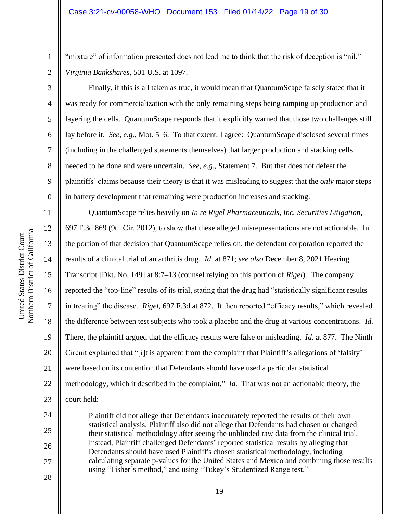"mixture" of information presented does not lead me to think that the risk of deception is "nil." *Virginia Bankshares*, 501 U.S. at 1097.

Finally, if this is all taken as true, it would mean that QuantumScape falsely stated that it was ready for commercialization with the only remaining steps being ramping up production and layering the cells. QuantumScape responds that it explicitly warned that those two challenges still lay before it. *See, e.g.*, Mot. 5–6. To that extent, I agree: QuantumScape disclosed several times (including in the challenged statements themselves) that larger production and stacking cells needed to be done and were uncertain. *See, e.g.*, Statement 7. But that does not defeat the plaintiffs' claims because their theory is that it was misleading to suggest that the *only* major steps in battery development that remaining were production increases and stacking.

QuantumScape relies heavily on *In re Rigel Pharmaceuticals, Inc. Securities Litigation*, 697 F.3d 869 (9th Cir. 2012), to show that these alleged misrepresentations are not actionable. In the portion of that decision that QuantumScape relies on, the defendant corporation reported the results of a clinical trial of an arthritis drug. *Id.* at 871; *see also* December 8, 2021 Hearing Transcript [Dkt. No. 149] at 8:7–13 (counsel relying on this portion of *Rigel*). The company reported the "top-line" results of its trial, stating that the drug had "statistically significant results in treating" the disease. *Rigel*, 697 F.3d at 872. It then reported "efficacy results," which revealed the difference between test subjects who took a placebo and the drug at various concentrations. *Id.*  There, the plaintiff argued that the efficacy results were false or misleading. *Id.* at 877. The Ninth Circuit explained that "[i]t is apparent from the complaint that Plaintiff's allegations of 'falsity' were based on its contention that Defendants should have used a particular statistical methodology, which it described in the complaint." *Id.* That was not an actionable theory, the court held:

Plaintiff did not allege that Defendants inaccurately reported the results of their own statistical analysis. Plaintiff also did not allege that Defendants had chosen or changed their statistical methodology after seeing the unblinded raw data from the clinical trial. Instead, Plaintiff challenged Defendants' reported statistical results by alleging that Defendants should have used Plaintiff's chosen statistical methodology, including calculating separate p-values for the United States and Mexico and combining those results using "Fisher's method," and using "Tukey's Studentized Range test."

1

2

3

4

5

6

7

8

9

10

11

12

13

14

15

16

17

18

19

20

21

22

23

24

25

26

27

28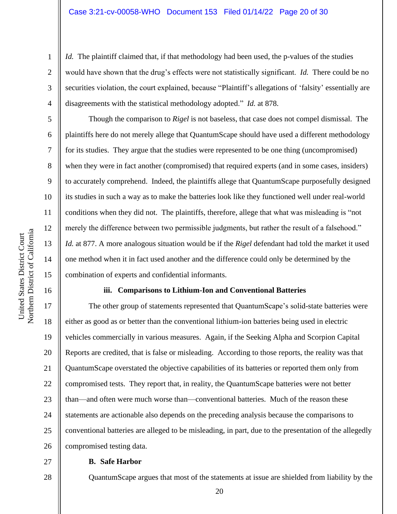*Id.* The plaintiff claimed that, if that methodology had been used, the p-values of the studies would have shown that the drug's effects were not statistically significant. *Id.* There could be no securities violation, the court explained, because "Plaintiff's allegations of 'falsity' essentially are disagreements with the statistical methodology adopted." *Id.* at 878.

Though the comparison to *Rigel* is not baseless, that case does not compel dismissal. The plaintiffs here do not merely allege that QuantumScape should have used a different methodology for its studies. They argue that the studies were represented to be one thing (uncompromised) when they were in fact another (compromised) that required experts (and in some cases, insiders) to accurately comprehend. Indeed, the plaintiffs allege that QuantumScape purposefully designed its studies in such a way as to make the batteries look like they functioned well under real-world conditions when they did not. The plaintiffs, therefore, allege that what was misleading is "not merely the difference between two permissible judgments, but rather the result of a falsehood." *Id.* at 877. A more analogous situation would be if the *Rigel* defendant had told the market it used one method when it in fact used another and the difference could only be determined by the combination of experts and confidential informants.

# **iii. Comparisons to Lithium-Ion and Conventional Batteries**

20 22 24 26 The other group of statements represented that QuantumScape's solid-state batteries were either as good as or better than the conventional lithium-ion batteries being used in electric vehicles commercially in various measures. Again, if the Seeking Alpha and Scorpion Capital Reports are credited, that is false or misleading. According to those reports, the reality was that QuantumScape overstated the objective capabilities of its batteries or reported them only from compromised tests. They report that, in reality, the QuantumScape batteries were not better than—and often were much worse than—conventional batteries. Much of the reason these statements are actionable also depends on the preceding analysis because the comparisons to conventional batteries are alleged to be misleading, in part, due to the presentation of the allegedly compromised testing data.

27

28

# **B. Safe Harbor**

QuantumScape argues that most of the statements at issue are shielded from liability by the

1

2

3

4

5

6

7

8

9

10

11

12

13

14

15

16

17

18

19

21

23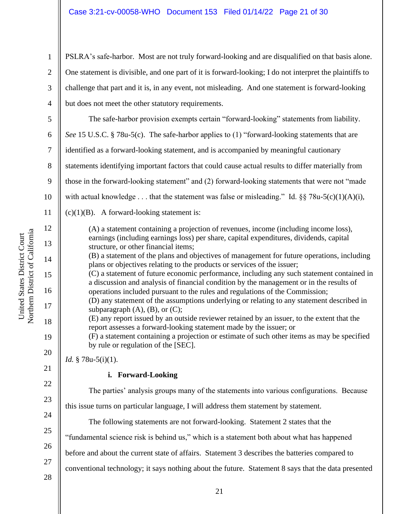PSLRA's safe-harbor. Most are not truly forward-looking and are disqualified on that basis alone. One statement is divisible, and one part of it is forward-looking; I do not interpret the plaintiffs to challenge that part and it is, in any event, not misleading. And one statement is forward-looking but does not meet the other statutory requirements.

5 6 7 8 9 10 11 12 13 14 15 16 17 18 19 20 21 22 23 24 25 The safe-harbor provision exempts certain "forward-looking" statements from liability. *See* 15 U.S.C. § 78u-5(c). The safe-harbor applies to (1) "forward-looking statements that are identified as a forward-looking statement, and is accompanied by meaningful cautionary statements identifying important factors that could cause actual results to differ materially from those in the forward-looking statement" and (2) forward-looking statements that were not "made with actual knowledge . . . that the statement was false or misleading." Id.  $\S$  $\S$  78u-5(c)(1)(A)(i),  $(c)(1)(B)$ . A forward-looking statement is: (A) a statement containing a projection of revenues, income (including income loss), earnings (including earnings loss) per share, capital expenditures, dividends, capital structure, or other financial items; (B) a statement of the plans and objectives of management for future operations, including plans or objectives relating to the products or services of the issuer; (C) a statement of future economic performance, including any such statement contained in a discussion and analysis of financial condition by the management or in the results of operations included pursuant to the rules and regulations of the Commission; (D) any statement of the assumptions underlying or relating to any statement described in subparagraph  $(A)$ ,  $(B)$ , or  $(C)$ ; (E) any report issued by an outside reviewer retained by an issuer, to the extent that the report assesses a forward-looking statement made by the issuer; or (F) a statement containing a projection or estimate of such other items as may be specified by rule or regulation of the [SEC]. *Id.* § 78u-5(i)(1). **i. Forward-Looking** The parties' analysis groups many of the statements into various configurations. Because this issue turns on particular language, I will address them statement by statement. The following statements are not forward-looking. Statement 2 states that the "fundamental science risk is behind us," which is a statement both about what has happened

before and about the current state of affairs. Statement 3 describes the batteries compared to

conventional technology; it says nothing about the future. Statement 8 says that the data presented

28

26

27

1

2

3

4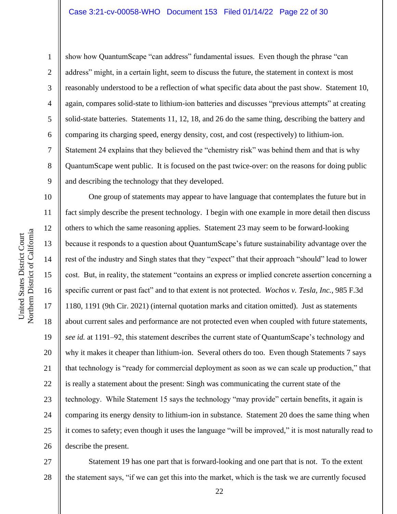1

2

3

4

5

6

7

8

9

show how QuantumScape "can address" fundamental issues. Even though the phrase "can address" might, in a certain light, seem to discuss the future, the statement in context is most reasonably understood to be a reflection of what specific data about the past show. Statement 10, again, compares solid-state to lithium-ion batteries and discusses "previous attempts" at creating solid-state batteries. Statements 11, 12, 18, and 26 do the same thing, describing the battery and comparing its charging speed, energy density, cost, and cost (respectively) to lithium-ion. Statement 24 explains that they believed the "chemistry risk" was behind them and that is why QuantumScape went public. It is focused on the past twice-over: on the reasons for doing public and describing the technology that they developed.

10 13 14 15 16 17 18 19 20 21 22 23 24 25 26 One group of statements may appear to have language that contemplates the future but in fact simply describe the present technology. I begin with one example in more detail then discuss others to which the same reasoning applies. Statement 23 may seem to be forward-looking because it responds to a question about QuantumScape's future sustainability advantage over the rest of the industry and Singh states that they "expect" that their approach "should" lead to lower cost. But, in reality, the statement "contains an express or implied concrete assertion concerning a specific current or past fact" and to that extent is not protected. *Wochos v. Tesla, Inc.*, 985 F.3d 1180, 1191 (9th Cir. 2021) (internal quotation marks and citation omitted). Just as statements about current sales and performance are not protected even when coupled with future statements, *see id.* at 1191–92, this statement describes the current state of QuantumScape's technology and why it makes it cheaper than lithium-ion. Several others do too. Even though Statements 7 says that technology is "ready for commercial deployment as soon as we can scale up production," that is really a statement about the present: Singh was communicating the current state of the technology. While Statement 15 says the technology "may provide" certain benefits, it again is comparing its energy density to lithium-ion in substance. Statement 20 does the same thing when it comes to safety; even though it uses the language "will be improved," it is most naturally read to describe the present.

27 28 Statement 19 has one part that is forward-looking and one part that is not. To the extent the statement says, "if we can get this into the market, which is the task we are currently focused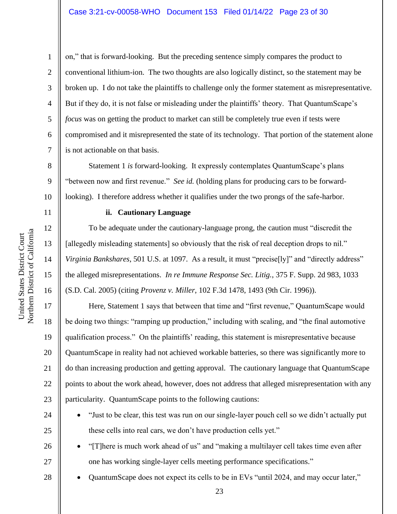on," that is forward-looking. But the preceding sentence simply compares the product to conventional lithium-ion. The two thoughts are also logically distinct, so the statement may be broken up. I do not take the plaintiffs to challenge only the former statement as misrepresentative. But if they do, it is not false or misleading under the plaintiffs' theory. That QuantumScape's *focus* was on getting the product to market can still be completely true even if tests were compromised and it misrepresented the state of its technology. That portion of the statement alone is not actionable on that basis.

Statement 1 *is* forward-looking. It expressly contemplates QuantumScape's plans "between now and first revenue." *See id.* (holding plans for producing cars to be forwardlooking). I therefore address whether it qualifies under the two prongs of the safe-harbor.

# **ii. Cautionary Language**

To be adequate under the cautionary-language prong, the caution must "discredit the [allegedly misleading statements] so obviously that the risk of real deception drops to nil." *Virginia Bankshares*, 501 U.S. at 1097. As a result, it must "precise[ly]" and "directly address" the alleged misrepresentations. *In re Immune Response Sec. Litig.*, 375 F. Supp. 2d 983, 1033 (S.D. Cal. 2005) (citing *Provenz v. Miller*, 102 F.3d 1478, 1493 (9th Cir. 1996)).

Here, Statement 1 says that between that time and "first revenue," QuantumScape would be doing two things: "ramping up production," including with scaling, and "the final automotive qualification process." On the plaintiffs' reading, this statement is misrepresentative because QuantumScape in reality had not achieved workable batteries, so there was significantly more to do than increasing production and getting approval. The cautionary language that QuantumScape points to about the work ahead, however, does not address that alleged misrepresentation with any particularity. QuantumScape points to the following cautions:

- "Just to be clear, this test was run on our single-layer pouch cell so we didn't actually put these cells into real cars, we don't have production cells yet."
	- "[T]here is much work ahead of us" and "making a multilayer cell takes time even after one has working single-layer cells meeting performance specifications."
	- QuantumScape does not expect its cells to be in EVs "until 2024, and may occur later,"

1

2

3

4

5

6

7

8

9

10

11

12

13

14

15

16

17

18

19

20

21

22

23

24

25

26

27

28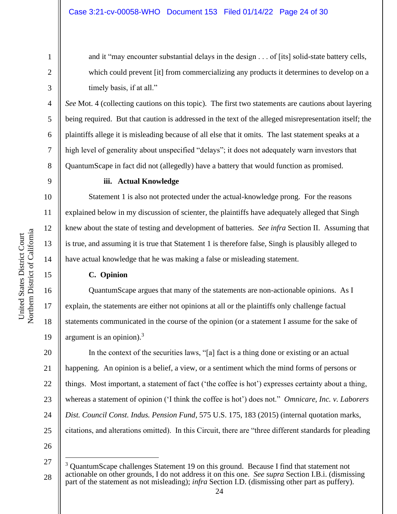and it "may encounter substantial delays in the design . . . of [its] solid-state battery cells, which could prevent [it] from commercializing any products it determines to develop on a timely basis, if at all."

*See* Mot. 4 (collecting cautions on this topic). The first two statements are cautions about layering being required. But that caution is addressed in the text of the alleged misrepresentation itself; the plaintiffs allege it is misleading because of all else that it omits. The last statement speaks at a high level of generality about unspecified "delays"; it does not adequately warn investors that QuantumScape in fact did not (allegedly) have a battery that would function as promised.

1

2

3

4

5

6

7

8

9

10

11

12

13

14

15

16

17

18

19

# **iii. Actual Knowledge**

Statement 1 is also not protected under the actual-knowledge prong. For the reasons explained below in my discussion of scienter, the plaintiffs have adequately alleged that Singh knew about the state of testing and development of batteries. *See infra* Section II. Assuming that is true, and assuming it is true that Statement 1 is therefore false, Singh is plausibly alleged to have actual knowledge that he was making a false or misleading statement.

# **C. Opinion**

QuantumScape argues that many of the statements are non-actionable opinions. As I explain, the statements are either not opinions at all or the plaintiffs only challenge factual statements communicated in the course of the opinion (or a statement I assume for the sake of argument is an opinion). $3$ 

20 21 22 23 24 25 In the context of the securities laws, "[a] fact is a thing done or existing or an actual happening. An opinion is a belief, a view, or a sentiment which the mind forms of persons or things. Most important, a statement of fact ('the coffee is hot') expresses certainty about a thing, whereas a statement of opinion ('I think the coffee is hot') does not." *Omnicare, Inc. v. Laborers Dist. Council Const. Indus. Pension Fund*, 575 U.S. 175, 183 (2015) (internal quotation marks, citations, and alterations omitted). In this Circuit, there are "three different standards for pleading

<sup>28</sup> <sup>3</sup> QuantumScape challenges Statement 19 on this ground. Because I find that statement not actionable on other grounds, I do not address it on this one. *See supra* Section I.B.i. (dismissing part of the statement as not misleading); *infra* Section I.D. (dismissing other part as puffery).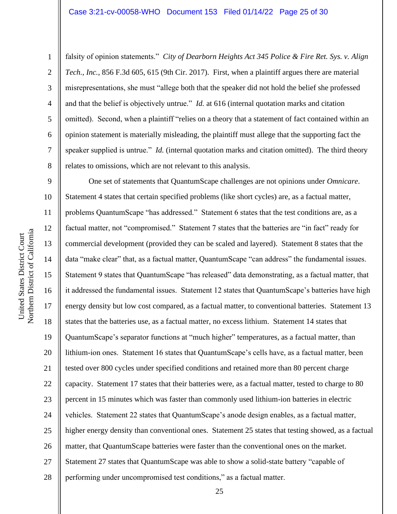falsity of opinion statements." *City of Dearborn Heights Act 345 Police & Fire Ret. Sys. v. Align Tech., Inc.*, 856 F.3d 605, 615 (9th Cir. 2017). First, when a plaintiff argues there are material misrepresentations, she must "allege both that the speaker did not hold the belief she professed and that the belief is objectively untrue." *Id.* at 616 (internal quotation marks and citation omitted). Second, when a plaintiff "relies on a theory that a statement of fact contained within an opinion statement is materially misleading, the plaintiff must allege that the supporting fact the speaker supplied is untrue." *Id.* (internal quotation marks and citation omitted). The third theory relates to omissions, which are not relevant to this analysis.

9 10 11 12 13 14 15 16 17 18 19 20 21 22 23 24 25 26 27 28 One set of statements that QuantumScape challenges are not opinions under *Omnicare*. Statement 4 states that certain specified problems (like short cycles) are, as a factual matter, problems QuantumScape "has addressed." Statement 6 states that the test conditions are, as a factual matter, not "compromised." Statement 7 states that the batteries are "in fact" ready for commercial development (provided they can be scaled and layered). Statement 8 states that the data "make clear" that, as a factual matter, QuantumScape "can address" the fundamental issues. Statement 9 states that QuantumScape "has released" data demonstrating, as a factual matter, that it addressed the fundamental issues. Statement 12 states that QuantumScape's batteries have high energy density but low cost compared, as a factual matter, to conventional batteries. Statement 13 states that the batteries use, as a factual matter, no excess lithium. Statement 14 states that QuantumScape's separator functions at "much higher" temperatures, as a factual matter, than lithium-ion ones. Statement 16 states that QuantumScape's cells have, as a factual matter, been tested over 800 cycles under specified conditions and retained more than 80 percent charge capacity. Statement 17 states that their batteries were, as a factual matter, tested to charge to 80 percent in 15 minutes which was faster than commonly used lithium-ion batteries in electric vehicles. Statement 22 states that QuantumScape's anode design enables, as a factual matter, higher energy density than conventional ones. Statement 25 states that testing showed, as a factual matter, that QuantumScape batteries were faster than the conventional ones on the market. Statement 27 states that QuantumScape was able to show a solid-state battery "capable of performing under uncompromised test conditions," as a factual matter.

1

2

3

4

5

6

7

8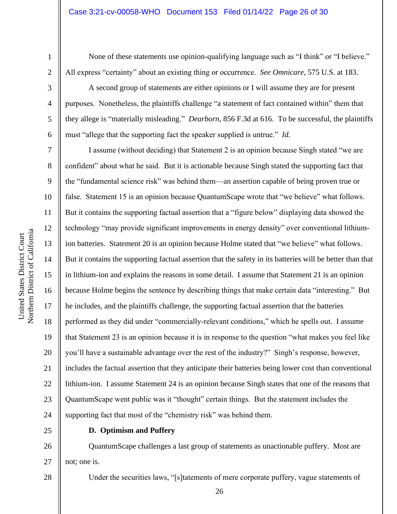3

4

5

6

7

8

9

10

11

12

13

14

15

16

17

18

19

20

21

22

23

24

None of these statements use opinion-qualifying language such as "I think" or "I believe." All express "certainty" about an existing thing or occurrence. *See Omnicare*, 575 U.S. at 183.

A second group of statements are either opinions or I will assume they are for present purposes. Nonetheless, the plaintiffs challenge "a statement of fact contained within" them that they allege is "materially misleading." *Dearborn*, 856 F.3d at 616. To be successful, the plaintiffs must "allege that the supporting fact the speaker supplied is untrue." *Id.*

I assume (without deciding) that Statement 2 is an opinion because Singh stated "we are confident" about what he said. But it is actionable because Singh stated the supporting fact that the "fundamental science risk" was behind them—an assertion capable of being proven true or false. Statement 15 is an opinion because QuantumScape wrote that "we believe" what follows. But it contains the supporting factual assertion that a "figure below" displaying data showed the technology "may provide significant improvements in energy density" over conventional lithiumion batteries. Statement 20 is an opinion because Holme stated that "we believe" what follows. But it contains the supporting factual assertion that the safety in its batteries will be better than that in lithium-ion and explains the reasons in some detail. I assume that Statement 21 is an opinion because Holme begins the sentence by describing things that make certain data "interesting." But he includes, and the plaintiffs challenge, the supporting factual assertion that the batteries performed as they did under "commercially-relevant conditions," which he spells out. I assume that Statement 23 is an opinion because it is in response to the question "what makes you feel like you'll have a sustainable advantage over the rest of the industry?" Singh's response, however, includes the factual assertion that they anticipate their batteries being lower cost than conventional lithium-ion. I assume Statement 24 is an opinion because Singh states that one of the reasons that QuantumScape went public was it "thought" certain things. But the statement includes the supporting fact that most of the "chemistry risk" was behind them.

25

# **D. Optimism and Puffery**

26 27 QuantumScape challenges a last group of statements as unactionable puffery. Most are not; one is.

28

Northern District of California Northern District of California United States District Court United States District Court

Under the securities laws, "[s]tatements of mere corporate puffery, vague statements of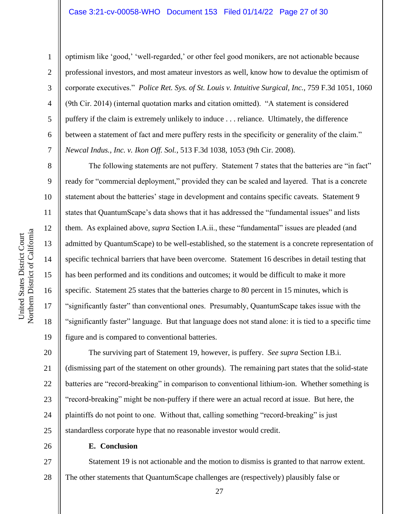optimism like 'good,' 'well-regarded,' or other feel good monikers, are not actionable because professional investors, and most amateur investors as well, know how to devalue the optimism of corporate executives." *Police Ret. Sys. of St. Louis v. Intuitive Surgical, Inc.*, 759 F.3d 1051, 1060 (9th Cir. 2014) (internal quotation marks and citation omitted). "A statement is considered puffery if the claim is extremely unlikely to induce . . . reliance. Ultimately, the difference between a statement of fact and mere puffery rests in the specificity or generality of the claim." *Newcal Indus., Inc. v. Ikon Off. Sol.*, 513 F.3d 1038, 1053 (9th Cir. 2008).

The following statements are not puffery. Statement 7 states that the batteries are "in fact" ready for "commercial deployment," provided they can be scaled and layered. That is a concrete statement about the batteries' stage in development and contains specific caveats. Statement 9 states that QuantumScape's data shows that it has addressed the "fundamental issues" and lists them. As explained above, *supra* Section I.A.ii., these "fundamental" issues are pleaded (and admitted by QuantumScape) to be well-established, so the statement is a concrete representation of specific technical barriers that have been overcome. Statement 16 describes in detail testing that has been performed and its conditions and outcomes; it would be difficult to make it more specific. Statement 25 states that the batteries charge to 80 percent in 15 minutes, which is "significantly faster" than conventional ones. Presumably, QuantumScape takes issue with the "significantly faster" language. But that language does not stand alone: it is tied to a specific time figure and is compared to conventional batteries.

20 21 22 23 24 25 The surviving part of Statement 19, however, is puffery. *See supra* Section I.B.i. (dismissing part of the statement on other grounds). The remaining part states that the solid-state batteries are "record-breaking" in comparison to conventional lithium-ion. Whether something is "record-breaking" might be non-puffery if there were an actual record at issue. But here, the plaintiffs do not point to one. Without that, calling something "record-breaking" is just standardless corporate hype that no reasonable investor would credit.

26

# **E. Conclusion**

27 28 Statement 19 is not actionable and the motion to dismiss is granted to that narrow extent. The other statements that QuantumScape challenges are (respectively) plausibly false or

1

2

3

4

5

6

7

8

9

10

11

12

13

14

15

16

17

18

19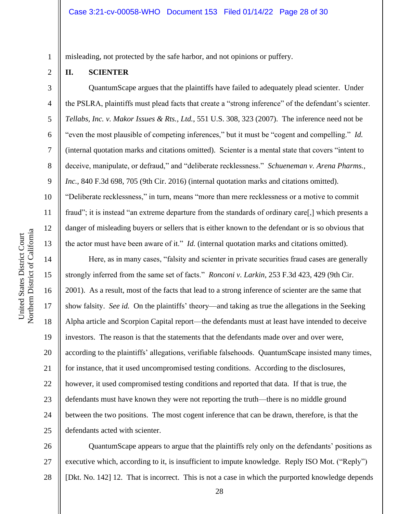misleading, not protected by the safe harbor, and not opinions or puffery.

## **II. SCIENTER**

1

2

3

4

5

6

7

8

9

10

11

12

13

QuantumScape argues that the plaintiffs have failed to adequately plead scienter. Under the PSLRA, plaintiffs must plead facts that create a "strong inference" of the defendant's scienter. *Tellabs, Inc. v. Makor Issues & Rts., Ltd.*, 551 U.S. 308, 323 (2007). The inference need not be "even the most plausible of competing inferences," but it must be "cogent and compelling." *Id.*  (internal quotation marks and citations omitted). Scienter is a mental state that covers "intent to deceive, manipulate, or defraud," and "deliberate recklessness." *Schueneman v. Arena Pharms., Inc.*, 840 F.3d 698, 705 (9th Cir. 2016) (internal quotation marks and citations omitted). "Deliberate recklessness," in turn, means "more than mere recklessness or a motive to commit fraud"; it is instead "an extreme departure from the standards of ordinary care[,] which presents a danger of misleading buyers or sellers that is either known to the defendant or is so obvious that the actor must have been aware of it." *Id.* (internal quotation marks and citations omitted).

14 15 16 17 18 19 20 21 22 23 24 25 Here, as in many cases, "falsity and scienter in private securities fraud cases are generally strongly inferred from the same set of facts." *Ronconi v. Larkin*, 253 F.3d 423, 429 (9th Cir. 2001). As a result, most of the facts that lead to a strong inference of scienter are the same that show falsity. *See id.* On the plaintiffs' theory—and taking as true the allegations in the Seeking Alpha article and Scorpion Capital report—the defendants must at least have intended to deceive investors. The reason is that the statements that the defendants made over and over were, according to the plaintiffs' allegations, verifiable falsehoods. QuantumScape insisted many times, for instance, that it used uncompromised testing conditions. According to the disclosures, however, it used compromised testing conditions and reported that data. If that is true, the defendants must have known they were not reporting the truth—there is no middle ground between the two positions. The most cogent inference that can be drawn, therefore, is that the defendants acted with scienter.

26 27 28 QuantumScape appears to argue that the plaintiffs rely only on the defendants' positions as executive which, according to it, is insufficient to impute knowledge. Reply ISO Mot. ("Reply") [Dkt. No. 142] 12. That is incorrect. This is not a case in which the purported knowledge depends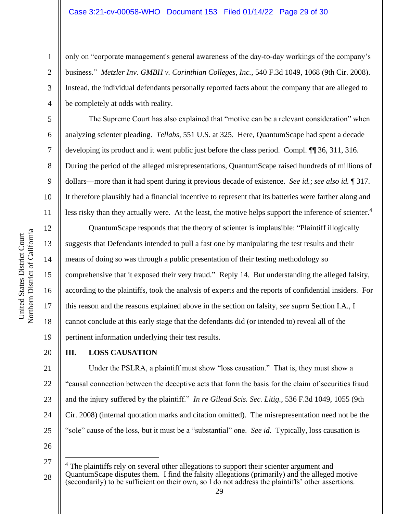only on "corporate management's general awareness of the day-to-day workings of the company's business." *Metzler Inv. GMBH v. Corinthian Colleges, Inc.*, 540 F.3d 1049, 1068 (9th Cir. 2008). Instead, the individual defendants personally reported facts about the company that are alleged to be completely at odds with reality.

The Supreme Court has also explained that "motive can be a relevant consideration" when analyzing scienter pleading. *Tellabs*, 551 U.S. at 325. Here, QuantumScape had spent a decade developing its product and it went public just before the class period. Compl. ¶¶ 36, 311, 316. During the period of the alleged misrepresentations, QuantumScape raised hundreds of millions of dollars—more than it had spent during it previous decade of existence. *See id.*; *see also id.* ¶ 317. It therefore plausibly had a financial incentive to represent that its batteries were farther along and less risky than they actually were. At the least, the motive helps support the inference of scienter.<sup>4</sup>

QuantumScape responds that the theory of scienter is implausible: "Plaintiff illogically suggests that Defendants intended to pull a fast one by manipulating the test results and their means of doing so was through a public presentation of their testing methodology so comprehensive that it exposed their very fraud." Reply 14. But understanding the alleged falsity, according to the plaintiffs, took the analysis of experts and the reports of confidential insiders. For this reason and the reasons explained above in the section on falsity, *see supra* Section I.A., I cannot conclude at this early stage that the defendants did (or intended to) reveal all of the pertinent information underlying their test results.

# **III. LOSS CAUSATION**

21 22 23 24 25 Under the PSLRA, a plaintiff must show "loss causation." That is, they must show a "causal connection between the deceptive acts that form the basis for the claim of securities fraud and the injury suffered by the plaintiff." *In re Gilead Scis. Sec. Litig.*, 536 F.3d 1049, 1055 (9th Cir. 2008) (internal quotation marks and citation omitted). The misrepresentation need not be the "sole" cause of the loss, but it must be a "substantial" one. *See id.* Typically, loss causation is

26

1

2

3

4

5

6

7

8

9

10

11

12

13

14

15

16

17

18

19

<sup>27</sup> 28 <sup>4</sup> The plaintiffs rely on several other allegations to support their scienter argument and QuantumScape disputes them. I find the falsity allegations (primarily) and the alleged motive (secondarily) to be sufficient on their own, so I do not address the plaintiffs' other assertions.